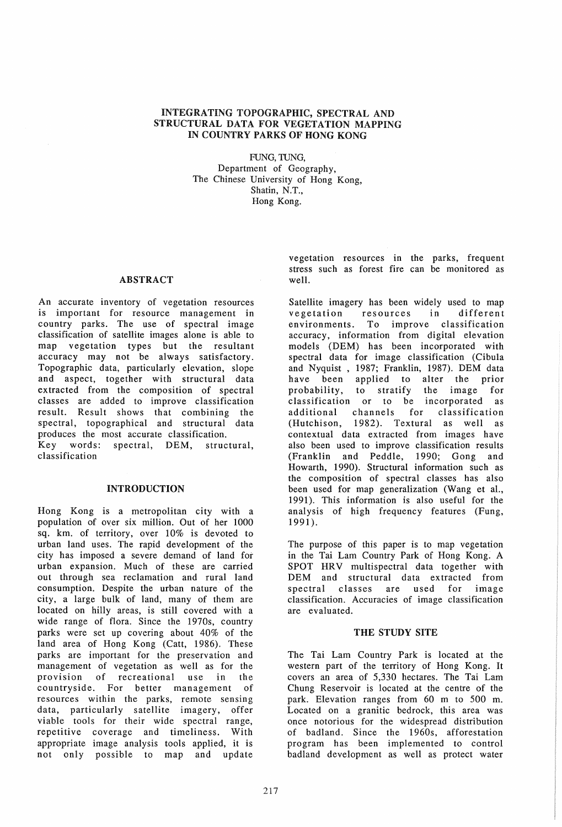# INTEGRATING TOPOGRAPHIC, SPECTRAL AND STRUCTURAL DATA FOR VEGETATION MAPPING IN COUNTRY PARKS OF HONG KONG

FUNG, TUNG, Department of Geography, The Chinese University of Hong Kong, Shatin, N.T., Hong Kong.

### ABSTRACT well.

An accurate inventory of vegetation resources is important for resource management in country parks. The use of spectral image classification of satellite images alone is able to map vegetation types but the resultant accuracy may not be always satisfactory. Topographic data, particularly elevation, slope and aspect, together with structural data extracted from the composition of spectral classes are added to improve classification result. Result shows that combining the spectral, topographical and structural data produces the most accurate classification. Key words: spectral, DEM, structural, classification

# INTRODUCTION

Hong Kong is a metropolitan city with a population of over six million. Out of her 1000 sq. km. of territory, over 10% is devoted to urban land uses. The rapid development of the city has imposed a severe demand of land for urban expansion. Much of these are carried out through sea reclamation and rural land consumption. Despite the urban nature of the city, a large bulk of land, many of them are located on hilly areas, is still covered with a wide range of flora. Since the 1970s, country parks were set up covering about 40% of the land area of Hong Kong (Catt, 1986). These parks are important for the preservation and management of vegetation as well as for the provision of recreational use in the countryside. For better management of resources within the parks, remote sensing data, particularly satellite imagery, offer viable tools for their wide spectral range, repetitive coverage and timeliness. With appropriate image analysis tools applied, it is not only possible to map and update

vegetation resources in the parks, frequent stress such as forest fire can be monitored as

Satellite imagery has been widely used to map vegetation resources in different environments. To improve classification accuracy, information from digital elevation models (DEM) has been incorporated with spectral data for image classification (Cibula and Nyquist, 1987; Franklin, 1987). DEM data have been applied to alter the prior probability, to stratify the image for classification or to be incorporated as additional channels for classification (Hutchison, 1982). Textural as well as contextual data extracted from images have also been used to improve classification results (Franklin and Peddle, 1990; Gong and Howarth, 1990). Structural information such as the composition of spectral classes has also been used for map generalization (Wang et aI., 1991). This information is also useful for the analysis of high frequency features (Fung, 1991).

The purpose of this paper is to map vegetation in the Tai Lam Country Park of Hong Kong. A SPOT HRV multispectral data together with DEM and structural data extracted from spectral classes are used for image classification. Accuracies of image classification are evaluated.

# THE STUDY SITE

The Tai Lam Country Park is located at the western part of the territory of Hong Kong. It covers an area of 5,330 hectares. The Tai Lam Chung Reservoir is located at the centre of the park. Elevation ranges from 60 m to 500 m. Located on a granitic bedrock, this area was once notorious for the widespread distribution of badland. Since the 1960s, afforestation program has been implemented to control badland development as well as protect water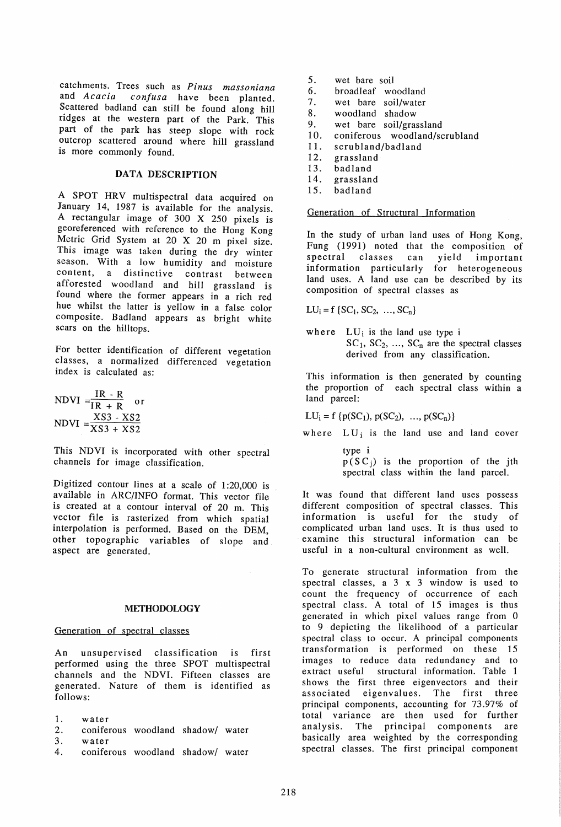catchments. Trees such as *Pinus massoniana*  and *Acacia confusa* have been planted. Scattered badland can still be found along hill ridges at the western part of the Park. This part of the park has steep slope with rock outcrop scattered around where hill grassland is more commonly found.

## DATA DESCRIPTION

A SPOT HRV multispectral data acquired on January 14, 1987 is available for the analysis. A rectangular image of 300 X 250 pixels is georeferenced with reference to the Hong Kong Metric Grid System at 20 X 20 m pixel size. This image was taken during the dry winter season. With a low humidity and moisture content, a distinctive contrast between afforested woodland and hill grassland is found where the former appears in a rich red hue whilst the latter is yellow in a false color composite. Badland appears as bright white scars on the hilltops.

For better identification of different vegetation classes, a normalized differenced vegetation index is calculated as:

$$
NDVI = \frac{IR - R}{IR + R} \text{ or}
$$
  
NDVI = 
$$
\frac{XS3 - XS2}{XS3 + XS2}
$$

This NDVI is incorporated with other spectral channels for image classification.

Digitized contour lines at a scale of 1:20,000 is available in ARC/INFO format. This vector file is created at a contour interval of 20 m. This vector file is rasterized from which spatial interpolation is performed. Based on the DEM other topographic variables of slope and aspect are generated.

# METHODOLOGY

## Generation of spectral classes

An unsupervised classification is first performed using the three SPOT multispectral channels and the NDVI. Fifteen classes are generated. Nature of them is identified as follows:

- 1. water
- 2. coniferous woodland shadow/ water
- 3. water
- 4. coniferous woodland shadow/ water
- 5. wet bare soil<br>6 broadleaf wo
- broadleaf woodland
- 7. wet bare soil/water<br>8. woodland shadow
- 8. woodland shadow<br>9. wet bare soil/gras
- 9. wet bare soil/grassland<br>10. coniferous woodland/sc
- 10. coniferous woodland/scrubland<br>11. scrubland/badland
- 11. scrubland/badland<br>12. grassland
- 12. grassland<br>13. badland
- 13. badland<br>14. grasslan
- 14. grassland<br>15. badland
- 15. badland

# Generation of Structural Information

In the study of urban land uses of Hong Kong, Fung (1991) noted that the composition of spectral classes can yield important information particularly for heterogeneous land uses. A land use can be described by its composition of spectral classes as

 $LU_i = f \{ SC_1, SC_2, ..., SC_n \}$ 

where  $LU_i$  is the land use type i  $SC_1$ ,  $SC_2$ , ...,  $SC_n$  are the spectral classes derived from any classification.

This information is then generated by counting the proportion of each spectral class within a land parcel:

 $LU_i = f \{p(SC_1), p(SC_2), ..., p(SC_n)\}\$ 

where  $LU_i$  is the land use and land cover

type i  $p(S C_i)$  is the proportion of the jth spectral class within the land parcel.

It was found that different land uses possess different composition of spectral classes. This information is useful for the study of complicated urban land uses. It is thus used to examine this structural information can be useful in a non-cultural environment as well.

To generate structural information from the spectral classes, a 3 x 3 window is used to count the frequency of occurrence of each spectral class. A total of 15 images is thus generated in which pixel values range from 0 to 9 depicting the likelihood of a particular spectral class to occur. A principal components transformation is performed on these 15 images to reduce data redundancy and to extract useful structural information. Table 1 shows the first three eigenvectors and their associated eigenvalues. The first three principal components, accounting for 73.97% of total variance are then used for further analysis. The principal components are basically area weighted by the corresponding spectral classes. The first principal component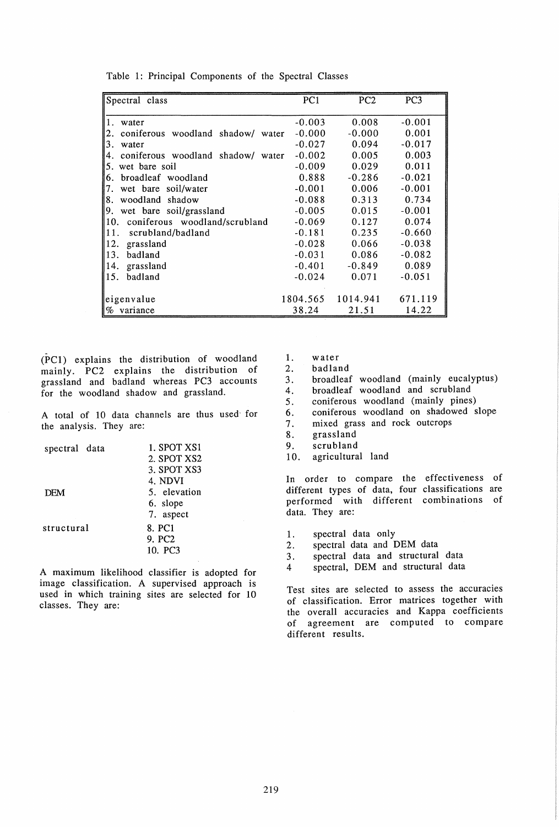| Spectral class                          | PC <sub>1</sub> | PC <sub>2</sub> | PC <sub>3</sub> |
|-----------------------------------------|-----------------|-----------------|-----------------|
| 1. water                                | $-0.003$        | 0.008           | $-0.001$        |
| 2. coniferous woodland shadow/ water    | $-0.000$        | $-0.000$        | 0.001           |
| 3.<br>water                             | $-0.027$        | 0.094           | $-0.017$        |
| coniferous woodland shadow/ water<br>4. | $-0.002$        | 0.005           | 0.003           |
| 5.<br>wet bare soil                     | $-0.009$        | 0.029           | 0.011           |
| broadleaf woodland<br>6.                | 0.888           | $-0.286$        | $-0.021$        |
| wet bare soil/water<br>7.               | $-0.001$        | 0.006           | $-0.001$        |
| woodland shadow<br>8.                   | $-0.088$        | 0.313           | 0.734           |
| 9. wet bare soil/grassland              | $-0.005$        | 0.015           | $-0.001$        |
| 10. coniferous woodland/scrubland       | $-0.069$        | 0.127           | 0.074           |
| scrubland/badland<br>III.               | $-0.181$        | 0.235           | $-0.660$        |
| 12.<br>grassland                        | $-0.028$        | 0.066           | $-0.038$        |
| 13.<br>badland                          | $-0.031$        | 0.086           | $-0.082$        |
| grassland<br>14.                        | $-0.401$        | $-0.849$        | 0.089           |
| 15.<br>badland                          | $-0.024$        | 0.071           | $-0.051$        |
|                                         |                 |                 |                 |
| eigenvalue                              | 1804.565        | 1014.941        | 671.119         |
| $\%$ variance                           | 38.24           | 21.51           | 14.22           |

Table 1: Principal Components of the Spectral Classes

(PC1) explains the distribution of woodland mainly. PC2 explains the distribution of grassland and badland whereas PC3 accounts for the woodland shadow and grassland.

A total of 10 data channels are thus used' for the analysis. They are:

| spectral data | 1. SPOT XS1        |
|---------------|--------------------|
|               | 2. SPOT XS2        |
|               | 3. SPOT XS3        |
|               | 4. NDVI            |
| <b>DEM</b>    | 5. elevation       |
|               | 6. slope           |
|               | 7. aspect          |
| structural    | 8. PC1             |
|               | 9. PC <sub>2</sub> |
|               | 10. PC3            |
|               |                    |

A maximum likelihood classifier is adopted for image classification. A supervised approach is used in which training sites are selected for 10 classes. They are:

1. water

- 2. badland
- 3. broadleaf woodland (mainly eucalyptus)
- 4. broadleaf woodland and scrubland
- 5. coniferous woodland (mainly pines)
- 6. coniferous woodland on shadowed slope
- 7. mixed grass and rock outcrops
- 8. grassland
- 9. scrubland
- 10. agricultural land

In order to compare the effectiveness of different types of data, four classifications are performed with different combinations of data. They are:

- 1. spectral data only
- 2. spectral data and DEM data
- 3. spectral data and structural data
- 4 spectral, DEM and structural data

Test sites are selected to assess the accuracies of classification. Error matrices together with the overall accuracies and Kappa coefficients of agreement are computed to compare different results.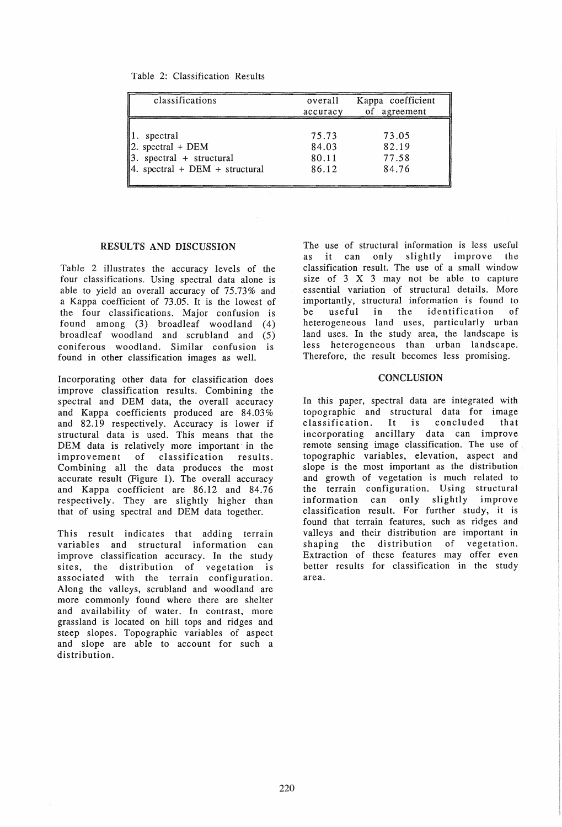|  |  | Table 2: Classification Results |  |
|--|--|---------------------------------|--|
|--|--|---------------------------------|--|

| classifications                  | overall<br>accuracy | Kappa coefficient<br>of agreement |
|----------------------------------|---------------------|-----------------------------------|
| spectral                         | 75.73               | 73.05                             |
| 2. spectral + $DEM$              | 84.03               | 82.19                             |
| $3.$ spectral + structural       | 80.11               | 77.58                             |
| 4. spectral + $DEM + structural$ | 86.12               | 84.76                             |

### RESULTS AND DISCUSSION

Table 2 illustrates the accuracy levels of the four classifications. Using spectral data alone is able to yield an overall accuracy of 75.73% and a Kappa coefficient of 73.05. It is the lowest of the four classifications. Major confusion is found among (3) broadleaf woodland (4) broadleaf woodland and scrubland and (5) coniferous woodland. Similar confusion is found in other classification images as well.

Incorporating other data for classification does improve classification results. Combining the spectral and DEM data, the overall accuracy and Kappa coefficients produced are 84.03% and 82.19 respectively. Accuracy is lower if structural data is used. This means that the DEM data is relatively more important in the improvement of classification results. Combining all the data produces the most accurate result (Figure 1). The overall accuracy and Kappa coefficient are 86.12 and 84.76 respectively. They are slightly higher than that of using spectral and DEM data together.

This result indicates that adding terrain variables and structural information can improve classification accuracy. In the study sites, the distribution of vegetation is associated with the terrain configuration. Along the valleys, scrubland and woodland are more commonly found where there are shelter and availability of water. In contrast, more grassland is located on hill tops and ridges and steep slopes. Topographic variables of aspect and slope are able to account for such a distribution.

The use of structural information is less useful it can only slightly improve the classification result. The use of a small window size of 3 X 3 may not be able to capture essential variation of structural details. More importantly, structural information is found to be useful in the identification of heterogeneous land uses, particularly urban land uses. In the study area, the landscape is less heterogeneous than urban landscape. Therefore, the result becomes less promising.

#### **CONCLUSION**

In this paper, spectral data are integrated with topographic and structural data for image clas sification. It is concluded that incorporating ancillary data can improve remote sensing image classification. The use of topographic variables, elevation, aspect and slope is the most important as the distribution and growth of vegetation is much related to the terrain configuration. Using structural information can only slightly improve classification result. For further study, it is found that terrain features, such as ridges and valleys and their distribution are important in shaping the distribution of vegetation. Extraction of these features may offer even better results for classification in the study area.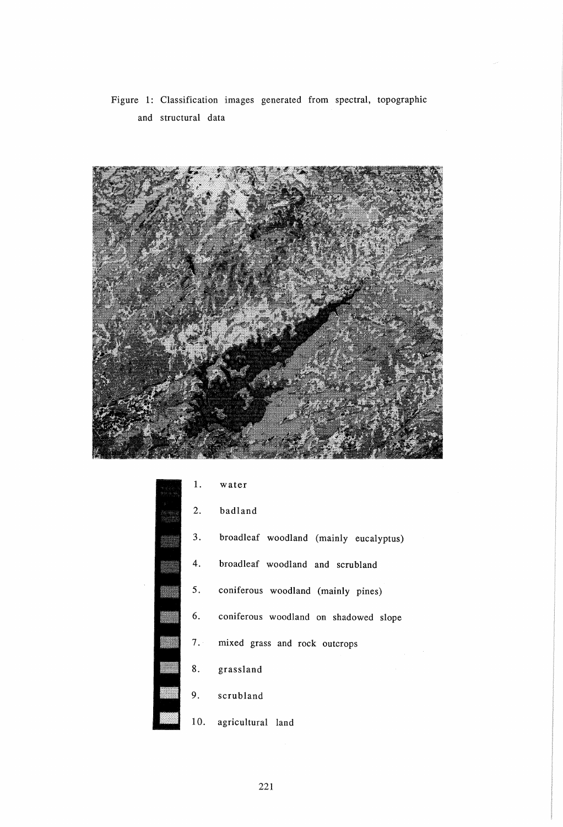Figure 1: Classification images generated from spectral, topographic and structural data



| 1. | water                                    |
|----|------------------------------------------|
| 2. | badland                                  |
| 3. | broadleaf woodland (mainly eucalyptus)   |
| 4. | broadleaf woodland and scrubland         |
| 5. | coniferous woodland (mainly pines)       |
|    | 6. coniferous woodland on shadowed slope |
|    | 7. mixed grass and rock outcrops         |
|    | 8. grassland                             |
| 9. | scrubland                                |
|    | 10. agricultural land                    |